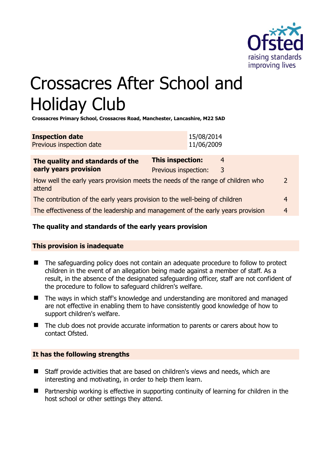

# Crossacres After School and Holiday Club

**Crossacres Primary School, Crossacres Road, Manchester, Lancashire, M22 5AD** 

| <b>Inspection date</b>   | 15/08/2014 |
|--------------------------|------------|
| Previous inspection date | 11/06/2009 |

| The quality and standards of the                                                          | <b>This inspection:</b> | 4 |               |
|-------------------------------------------------------------------------------------------|-------------------------|---|---------------|
| early years provision                                                                     | Previous inspection:    | 3 |               |
| How well the early years provision meets the needs of the range of children who<br>attend |                         |   | $\mathcal{P}$ |
| The contribution of the early years provision to the well-being of children               |                         |   |               |
| The effectiveness of the leadership and management of the early years provision           |                         |   | 4             |
|                                                                                           |                         |   |               |

# **The quality and standards of the early years provision**

# **This provision is inadequate**

- The safeguarding policy does not contain an adequate procedure to follow to protect children in the event of an allegation being made against a member of staff. As a result, in the absence of the designated safeguarding officer, staff are not confident of the procedure to follow to safeguard children's welfare.
- The ways in which staff's knowledge and understanding are monitored and managed are not effective in enabling them to have consistently good knowledge of how to support children's welfare.
- The club does not provide accurate information to parents or carers about how to contact Ofsted.

# **It has the following strengths**

- Staff provide activities that are based on children's views and needs, which are interesting and motivating, in order to help them learn.
- Partnership working is effective in supporting continuity of learning for children in the host school or other settings they attend.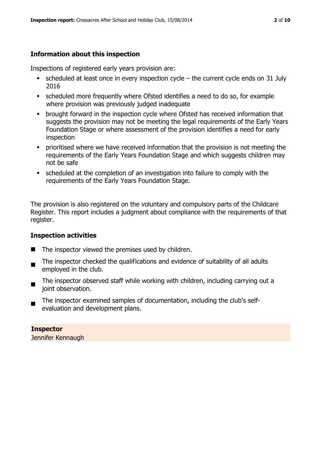# **Information about this inspection**

Inspections of registered early years provision are:

- $\blacksquare$  scheduled at least once in every inspection cycle the current cycle ends on 31 July 2016
- scheduled more frequently where Ofsted identifies a need to do so, for example where provision was previously judged inadequate
- **•** brought forward in the inspection cycle where Ofsted has received information that suggests the provision may not be meeting the legal requirements of the Early Years Foundation Stage or where assessment of the provision identifies a need for early inspection
- **•** prioritised where we have received information that the provision is not meeting the requirements of the Early Years Foundation Stage and which suggests children may not be safe
- scheduled at the completion of an investigation into failure to comply with the requirements of the Early Years Foundation Stage.

The provision is also registered on the voluntary and compulsory parts of the Childcare Register. This report includes a judgment about compliance with the requirements of that register.

# **Inspection activities**

- $\blacksquare$  The inspector viewed the premises used by children.
- . The inspector checked the qualifications and evidence of suitability of all adults employed in the club.
- The inspector observed staff while working with children, including carrying out a joint observation.
- The inspector examined samples of documentation, including the club's selfevaluation and development plans.

# **Inspector**

Jennifer Kennaugh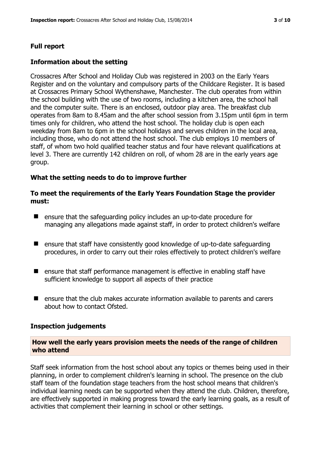# **Full report**

#### **Information about the setting**

Crossacres After School and Holiday Club was registered in 2003 on the Early Years Register and on the voluntary and compulsory parts of the Childcare Register. It is based at Crossacres Primary School Wythenshawe, Manchester. The club operates from within the school building with the use of two rooms, including a kitchen area, the school hall and the computer suite. There is an enclosed, outdoor play area. The breakfast club operates from 8am to 8.45am and the after school session from 3.15pm until 6pm in term times only for children, who attend the host school. The holiday club is open each weekday from 8am to 6pm in the school holidays and serves children in the local area, including those, who do not attend the host school. The club employs 10 members of staff, of whom two hold qualified teacher status and four have relevant qualifications at level 3. There are currently 142 children on roll, of whom 28 are in the early years age group.

#### **What the setting needs to do to improve further**

#### **To meet the requirements of the Early Years Foundation Stage the provider must:**

- ensure that the safeguarding policy includes an up-to-date procedure for managing any allegations made against staff, in order to protect children's welfare
- ensure that staff have consistently good knowledge of up-to-date safeguarding procedures, in order to carry out their roles effectively to protect children's welfare
- **E** ensure that staff performance management is effective in enabling staff have sufficient knowledge to support all aspects of their practice
- ensure that the club makes accurate information available to parents and carers about how to contact Ofsted.

#### **Inspection judgements**

#### **How well the early years provision meets the needs of the range of children who attend**

Staff seek information from the host school about any topics or themes being used in their planning, in order to complement children's learning in school. The presence on the club staff team of the foundation stage teachers from the host school means that children's individual learning needs can be supported when they attend the club. Children, therefore, are effectively supported in making progress toward the early learning goals, as a result of activities that complement their learning in school or other settings.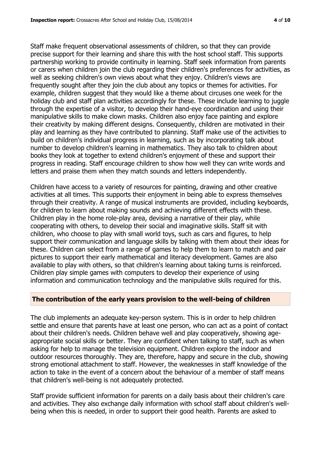Staff make frequent observational assessments of children, so that they can provide precise support for their learning and share this with the host school staff. This supports partnership working to provide continuity in learning. Staff seek information from parents or carers when children join the club regarding their children's preferences for activities, as well as seeking children's own views about what they enjoy. Children's views are frequently sought after they join the club about any topics or themes for activities. For example, children suggest that they would like a theme about circuses one week for the holiday club and staff plan activities accordingly for these. These include learning to juggle through the expertise of a visitor, to develop their hand-eye coordination and using their manipulative skills to make clown masks. Children also enjoy face painting and explore their creativity by making different designs. Consequently, children are motivated in their play and learning as they have contributed to planning. Staff make use of the activities to build on children's individual progress in learning, such as by incorporating talk about number to develop children's learning in mathematics. They also talk to children about books they look at together to extend children's enjoyment of these and support their progress in reading. Staff encourage children to show how well they can write words and letters and praise them when they match sounds and letters independently.

Children have access to a variety of resources for painting, drawing and other creative activities at all times. This supports their enjoyment in being able to express themselves through their creativity. A range of musical instruments are provided, including keyboards, for children to learn about making sounds and achieving different effects with these. Children play in the home role-play area, devising a narrative of their play, while cooperating with others, to develop their social and imaginative skills. Staff sit with children, who choose to play with small world toys, such as cars and figures, to help support their communication and language skills by talking with them about their ideas for these. Children can select from a range of games to help them to learn to match and pair pictures to support their early mathematical and literacy development. Games are also available to play with others, so that children's learning about taking turns is reinforced. Children play simple games with computers to develop their experience of using information and communication technology and the manipulative skills required for this.

# **The contribution of the early years provision to the well-being of children**

The club implements an adequate key-person system. This is in order to help children settle and ensure that parents have at least one person, who can act as a point of contact about their children's needs. Children behave well and play cooperatively, showing ageappropriate social skills or better. They are confident when talking to staff, such as when asking for help to manage the television equipment. Children explore the indoor and outdoor resources thoroughly. They are, therefore, happy and secure in the club, showing strong emotional attachment to staff. However, the weaknesses in staff knowledge of the action to take in the event of a concern about the behaviour of a member of staff means that children's well-being is not adequately protected.

Staff provide sufficient information for parents on a daily basis about their children's care and activities. They also exchange daily information with school staff about children's wellbeing when this is needed, in order to support their good health. Parents are asked to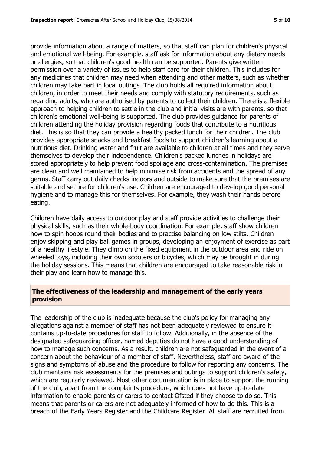provide information about a range of matters, so that staff can plan for children's physical and emotional well-being. For example, staff ask for information about any dietary needs or allergies, so that children's good health can be supported. Parents give written permission over a variety of issues to help staff care for their children. This includes for any medicines that children may need when attending and other matters, such as whether children may take part in local outings. The club holds all required information about children, in order to meet their needs and comply with statutory requirements, such as regarding adults, who are authorised by parents to collect their children. There is a flexible approach to helping children to settle in the club and initial visits are with parents, so that children's emotional well-being is supported. The club provides guidance for parents of children attending the holiday provision regarding foods that contribute to a nutritious diet. This is so that they can provide a healthy packed lunch for their children. The club provides appropriate snacks and breakfast foods to support children's learning about a nutritious diet. Drinking water and fruit are available to children at all times and they serve themselves to develop their independence. Children's packed lunches in holidays are stored appropriately to help prevent food spoilage and cross-contamination. The premises are clean and well maintained to help minimise risk from accidents and the spread of any germs. Staff carry out daily checks indoors and outside to make sure that the premises are suitable and secure for children's use. Children are encouraged to develop good personal hygiene and to manage this for themselves. For example, they wash their hands before eating.

Children have daily access to outdoor play and staff provide activities to challenge their physical skills, such as their whole-body coordination. For example, staff show children how to spin hoops round their bodies and to practise balancing on low stilts. Children enjoy skipping and play ball games in groups, developing an enjoyment of exercise as part of a healthy lifestyle. They climb on the fixed equipment in the outdoor area and ride on wheeled toys, including their own scooters or bicycles, which may be brought in during the holiday sessions. This means that children are encouraged to take reasonable risk in their play and learn how to manage this.

# **The effectiveness of the leadership and management of the early years provision**

The leadership of the club is inadequate because the club's policy for managing any allegations against a member of staff has not been adequately reviewed to ensure it contains up-to-date procedures for staff to follow. Additionally, in the absence of the designated safeguarding officer, named deputies do not have a good understanding of how to manage such concerns. As a result, children are not safeguarded in the event of a concern about the behaviour of a member of staff. Nevertheless, staff are aware of the signs and symptoms of abuse and the procedure to follow for reporting any concerns. The club maintains risk assessments for the premises and outings to support children's safety, which are regularly reviewed. Most other documentation is in place to support the running of the club, apart from the complaints procedure, which does not have up-to-date information to enable parents or carers to contact Ofsted if they choose to do so. This means that parents or carers are not adequately informed of how to do this. This is a breach of the Early Years Register and the Childcare Register. All staff are recruited from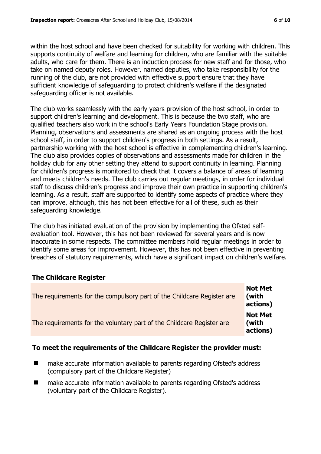within the host school and have been checked for suitability for working with children. This supports continuity of welfare and learning for children, who are familiar with the suitable adults, who care for them. There is an induction process for new staff and for those, who take on named deputy roles. However, named deputies, who take responsibility for the running of the club, are not provided with effective support ensure that they have sufficient knowledge of safeguarding to protect children's welfare if the designated safeguarding officer is not available.

The club works seamlessly with the early years provision of the host school, in order to support children's learning and development. This is because the two staff, who are qualified teachers also work in the school's Early Years Foundation Stage provision. Planning, observations and assessments are shared as an ongoing process with the host school staff, in order to support children's progress in both settings. As a result, partnership working with the host school is effective in complementing children's learning. The club also provides copies of observations and assessments made for children in the holiday club for any other setting they attend to support continuity in learning. Planning for children's progress is monitored to check that it covers a balance of areas of learning and meets children's needs. The club carries out regular meetings, in order for individual staff to discuss children's progress and improve their own practice in supporting children's learning. As a result, staff are supported to identify some aspects of practice where they can improve, although, this has not been effective for all of these, such as their safeguarding knowledge.

The club has initiated evaluation of the provision by implementing the Ofsted selfevaluation tool. However, this has not been reviewed for several years and is now inaccurate in some respects. The committee members hold regular meetings in order to identify some areas for improvement. However, this has not been effective in preventing breaches of statutory requirements, which have a significant impact on children's welfare.

# **The Childcare Register**

| The requirements for the compulsory part of the Childcare Register are | <b>Not Met</b><br>(with<br>actions) |
|------------------------------------------------------------------------|-------------------------------------|
| The requirements for the voluntary part of the Childcare Register are  | <b>Not Met</b><br>(with<br>actions) |

# **To meet the requirements of the Childcare Register the provider must:**

- make accurate information available to parents regarding Ofsted's address (compulsory part of the Childcare Register)
- make accurate information available to parents regarding Ofsted's address (voluntary part of the Childcare Register).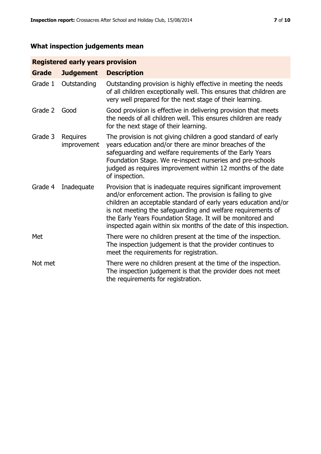# **What inspection judgements mean**

# **Registered early years provision**

| <b>Grade</b> | <b>Judgement</b>               | <b>Description</b>                                                                                                                                                                                                                                                                                                                                                                                |
|--------------|--------------------------------|---------------------------------------------------------------------------------------------------------------------------------------------------------------------------------------------------------------------------------------------------------------------------------------------------------------------------------------------------------------------------------------------------|
| Grade 1      | Outstanding                    | Outstanding provision is highly effective in meeting the needs<br>of all children exceptionally well. This ensures that children are<br>very well prepared for the next stage of their learning.                                                                                                                                                                                                  |
| Grade 2      | Good                           | Good provision is effective in delivering provision that meets<br>the needs of all children well. This ensures children are ready<br>for the next stage of their learning.                                                                                                                                                                                                                        |
| Grade 3      | <b>Requires</b><br>improvement | The provision is not giving children a good standard of early<br>years education and/or there are minor breaches of the<br>safeguarding and welfare requirements of the Early Years<br>Foundation Stage. We re-inspect nurseries and pre-schools<br>judged as requires improvement within 12 months of the date<br>of inspection.                                                                 |
| Grade 4      | Inadequate                     | Provision that is inadequate requires significant improvement<br>and/or enforcement action. The provision is failing to give<br>children an acceptable standard of early years education and/or<br>is not meeting the safeguarding and welfare requirements of<br>the Early Years Foundation Stage. It will be monitored and<br>inspected again within six months of the date of this inspection. |
| Met          |                                | There were no children present at the time of the inspection.<br>The inspection judgement is that the provider continues to<br>meet the requirements for registration.                                                                                                                                                                                                                            |
| Not met      |                                | There were no children present at the time of the inspection.<br>The inspection judgement is that the provider does not meet<br>the requirements for registration.                                                                                                                                                                                                                                |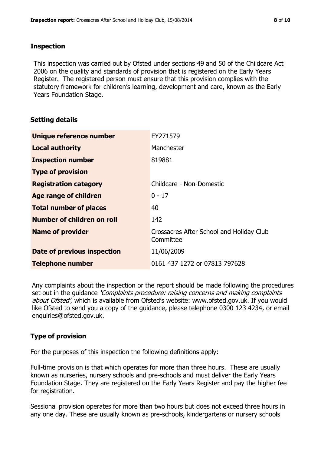#### **Inspection**

This inspection was carried out by Ofsted under sections 49 and 50 of the Childcare Act 2006 on the quality and standards of provision that is registered on the Early Years Register. The registered person must ensure that this provision complies with the statutory framework for children's learning, development and care, known as the Early Years Foundation Stage.

# **Setting details**

| Unique reference number            | EY271579                                              |
|------------------------------------|-------------------------------------------------------|
| <b>Local authority</b>             | Manchester                                            |
| <b>Inspection number</b>           | 819881                                                |
| <b>Type of provision</b>           |                                                       |
| <b>Registration category</b>       | Childcare - Non-Domestic                              |
| Age range of children              | $0 - 17$                                              |
| <b>Total number of places</b>      | 40                                                    |
| <b>Number of children on roll</b>  | 142                                                   |
| <b>Name of provider</b>            | Crossacres After School and Holiday Club<br>Committee |
| <b>Date of previous inspection</b> | 11/06/2009                                            |
| <b>Telephone number</b>            | 0161 437 1272 or 07813 797628                         |

Any complaints about the inspection or the report should be made following the procedures set out in the quidance *'Complaints procedure: raising concerns and making complaints* about Ofsted', which is available from Ofsted's website: www.ofsted.gov.uk. If you would like Ofsted to send you a copy of the guidance, please telephone 0300 123 4234, or email enquiries@ofsted.gov.uk.

# **Type of provision**

For the purposes of this inspection the following definitions apply:

Full-time provision is that which operates for more than three hours. These are usually known as nurseries, nursery schools and pre-schools and must deliver the Early Years Foundation Stage. They are registered on the Early Years Register and pay the higher fee for registration.

Sessional provision operates for more than two hours but does not exceed three hours in any one day. These are usually known as pre-schools, kindergartens or nursery schools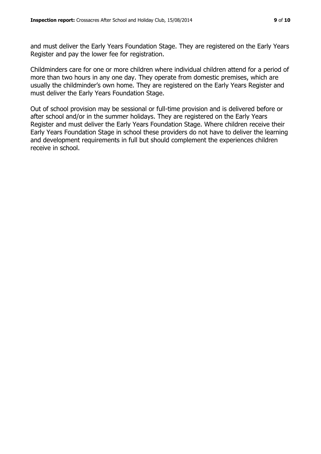and must deliver the Early Years Foundation Stage. They are registered on the Early Years Register and pay the lower fee for registration.

Childminders care for one or more children where individual children attend for a period of more than two hours in any one day. They operate from domestic premises, which are usually the childminder's own home. They are registered on the Early Years Register and must deliver the Early Years Foundation Stage.

Out of school provision may be sessional or full-time provision and is delivered before or after school and/or in the summer holidays. They are registered on the Early Years Register and must deliver the Early Years Foundation Stage. Where children receive their Early Years Foundation Stage in school these providers do not have to deliver the learning and development requirements in full but should complement the experiences children receive in school.